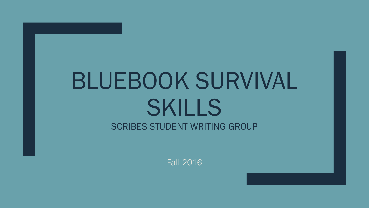# BLUEBOOK SURVIVAL SKILLS SCRIBES STUDENT WRITING GROUP

Fall 2016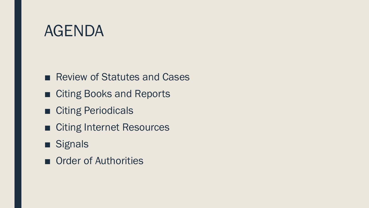#### AGENDA

- Review of Statutes and Cases
- Citing Books and Reports
- Citing Periodicals
- Citing Internet Resources
- Signals
- Order of Authorities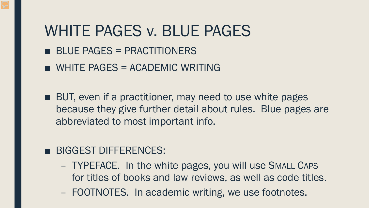#### WHITE PAGES v. BLUE PAGES

- BLUE PAGES = PRACTITIONERS
- $\blacksquare$  WHITE PAGES = ACADEMIC WRITING
- BUT, even if a practitioner, may need to use white pages because they give further detail about rules. Blue pages are abbreviated to most important info.

#### ■ BIGGEST DIFFERENCES:

- TYPEFACE. In the white pages, you will use SMALL CAPS for titles of books and law reviews, as well as code titles.
- FOOTNOTES. In academic writing, we use footnotes.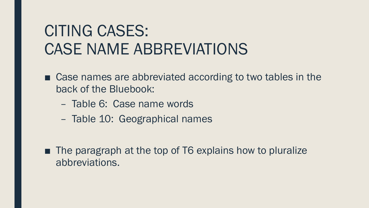## CITING CASES: CASE NAME ABBREVIATIONS

- Case names are abbreviated according to two tables in the back of the Bluebook:
	- Table 6: Case name words
	- Table 10: Geographical names

■ The paragraph at the top of T6 explains how to pluralize abbreviations.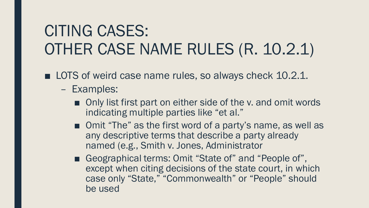## CITING CASES: OTHER CASE NAME RULES (R. 10.2.1)

■ LOTS of weird case name rules, so always check 10.2.1.

- Examples:
	- Only list first part on either side of the v. and omit words indicating multiple parties like "et al."
	- Omit "The" as the first word of a party's name, as well as any descriptive terms that describe a party already named (e.g., Smith v. Jones, Administrator
	- Geographical terms: Omit "State of" and "People of", except when citing decisions of the state court, in which case only "State," "Commonwealth" or "People" should be used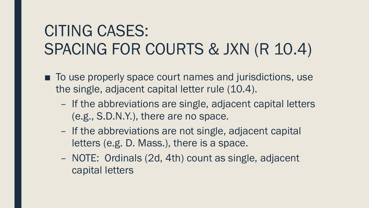## CITING CASES: SPACING FOR COURTS & JXN (R 10.4)

- To use properly space court names and jurisdictions, use the single, adjacent capital letter rule (10.4).
	- If the abbreviations are single, adjacent capital letters (e.g., S.D.N.Y.), there are no space.
	- If the abbreviations are not single, adjacent capital letters (e.g. D. Mass.), there is a space.
	- NOTE: Ordinals (2d, 4th) count as single, adjacent capital letters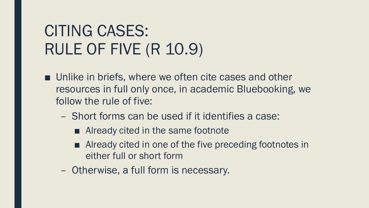## CITING CASES: RULE OF FIVE (R 10.9)

- Unlike in briefs, where we often cite cases and other resources in full only once, in academic Bluebooking, we follow the rule of five:
	- Short forms can be used if it identifies a case:
		- Already cited in the same footnote
		- Already cited in one of the five preceding footnotes in either full or short form
	- Otherwise, a full form is necessary.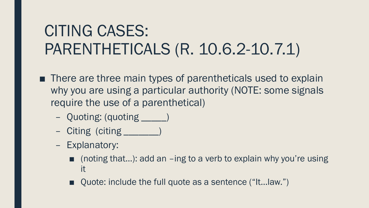## CITING CASES: PARENTHETICALS (R. 10.6.2-10.7.1)

- There are three main types of parentheticals used to explain why you are using a particular authority (NOTE: some signals require the use of a parenthetical)
	- Quoting: (quoting \_\_\_\_\_)
	- Citing (citing \_\_\_\_\_\_\_)
	- Explanatory:
		- (noting that...): add an  $-$ ing to a verb to explain why you're using it
		- Quote: include the full quote as a sentence ("It...Iaw.")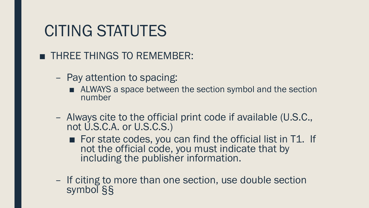#### CITING STATUTES

#### ■ THREE THINGS TO REMEMBER:

- Pay attention to spacing:
	- ALWAYS a space between the section symbol and the section number
- Always cite to the official print code if available (U.S.C., not U.S.C.A. or U.S.C.S.)
	- For state codes, you can find the official list in T1. If not the official code, you must indicate that by including the publisher information.
- If citing to more than one section, use double section symbol §§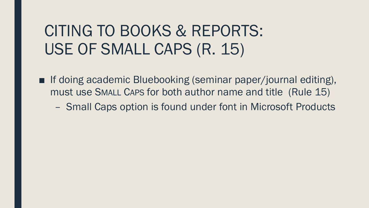#### CITING TO BOOKS & REPORTS: USE OF SMALL CAPS (R. 15)

- If doing academic Bluebooking (seminar paper/journal editing), must use SMALL CAPS for both author name and title (Rule 15)
	- Small Caps option is found under font in Microsoft Products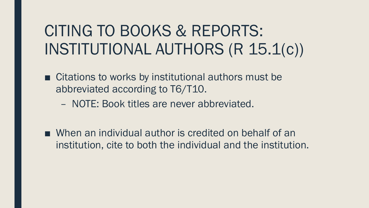## CITING TO BOOKS & REPORTS: INSTITUTIONAL AUTHORS (R 15.1(c))

- Citations to works by institutional authors must be abbreviated according to T6/T10.
	- NOTE: Book titles are never abbreviated.
- When an individual author is credited on behalf of an institution, cite to both the individual and the institution.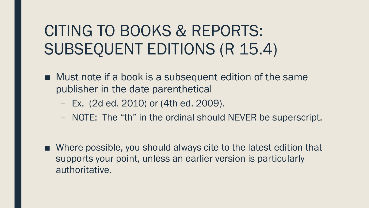## CITING TO BOOKS & REPORTS: SUBSEQUENT EDITIONS (R 15.4)

- Must note if a book is a subsequent edition of the same publisher in the date parenthetical
	- Ex. (2d ed. 2010) or (4th ed. 2009).
	- NOTE: The "th" in the ordinal should NEVER be superscript.
- Where possible, you should always cite to the latest edition that supports your point, unless an earlier version is particularly authoritative.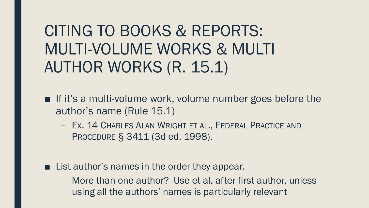CITING TO BOOKS & REPORTS: MULTI-VOLUME WORKS & MULTI AUTHOR WORKS (R. 15.1)

- $\blacksquare$  If it's a multi-volume work, volume number goes before the author's name (Rule 15.1)
	- Ex. 14 CHARLES ALAN WRIGHT ET AL., FEDERAL PRACTICE AND PROCEDURE § 3411 (3d ed. 1998).
- List author's names in the order they appear.
	- More than one author? Use et al. after first author, unless using all the authors' names is particularly relevant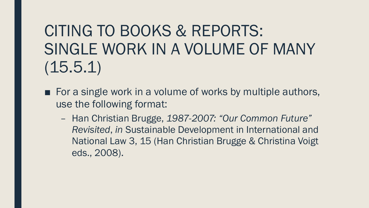CITING TO BOOKS & REPORTS: SINGLE WORK IN A VOLUME OF MANY (15.5.1)

- $\blacksquare$  For a single work in a volume of works by multiple authors, use the following format:
	- Han Christian Brugge, *1987-2007: "Our Common Future" Revisited*, *in* Sustainable Development in International and National Law 3, 15 (Han Christian Brugge & Christina Voigt eds., 2008).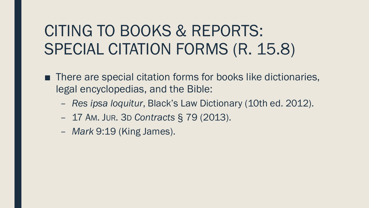## CITING TO BOOKS & REPORTS: SPECIAL CITATION FORMS (R. 15.8)

- There are special citation forms for books like dictionaries, legal encyclopedias, and the Bible:
	- *Res ipsa loquitur*, Black's Law Dictionary (10th ed. 2012).
	- 17 AM. JUR. 3D *Contracts* § 79 (2013).
	- *Mark* 9:19 (King James).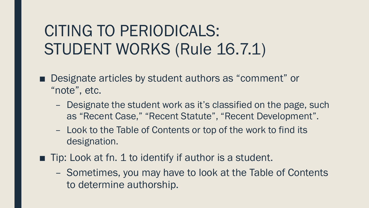## CITING TO PERIODICALS: STUDENT WORKS (Rule 16.7.1)

- Designate articles by student authors as "comment" or "note", etc.
	- Designate the student work as it's classified on the page, such as "Recent Case," "Recent Statute", "Recent Development".
	- Look to the Table of Contents or top of the work to find its designation.
- Tip: Look at fn. 1 to identify if author is a student.
	- Sometimes, you may have to look at the Table of Contents to determine authorship.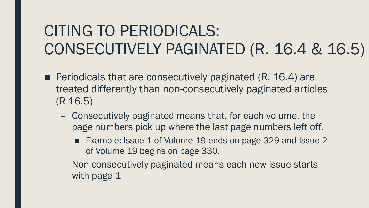## CITING TO PERIODICALS: CONSECUTIVELY PAGINATED (R. 16.4 & 16.5)

- Periodicals that are consecutively paginated (R. 16.4) are treated differently than non-consecutively paginated articles (R 16.5)
	- Consecutively paginated means that, for each volume, the page numbers pick up where the last page numbers left off.
		- Example: Issue 1 of Volume 19 ends on page 329 and Issue 2 of Volume 19 begins on page 330.
	- Non-consecutively paginated means each new issue starts with page 1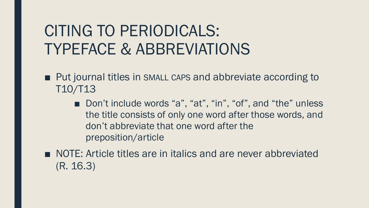## CITING TO PERIODICALS: TYPEFACE & ABBREVIATIONS

- Put journal titles in SMALL CAPS and abbreviate according to T10/T13
	- Don't include words "a", "at", "in", "of", and "the" unless the title consists of only one word after those words, and don't abbreviate that one word after the preposition/article
- NOTE: Article titles are in italics and are never abbreviated (R. 16.3)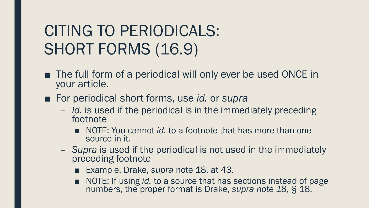## CITING TO PERIODICALS: SHORT FORMS (16.9)

- The full form of a periodical will only ever be used ONCE in your article.
- For periodical short forms, use *id.* or *supra* 
	- *Id.* is used if the periodical is in the immediately preceding footnote
		- NOTE: You cannot *id.* to a footnote that has more than one source in it.
	- *Supra* is used if the periodical is not used in the immediately preceding footnote
		- Example. Drake, *supra* note 18, at 43.
		- NOTE: If using *id.* to a source that has sections instead of page numbers, the proper format is Drake, *supra note 18,* § 18.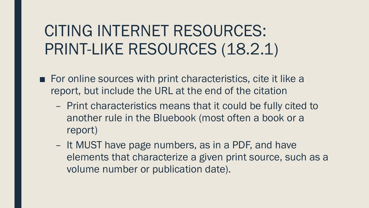## CITING INTERNET RESOURCES: PRINT-LIKE RESOURCES (18.2.1)

- For online sources with print characteristics, cite it like a report, but include the URL at the end of the citation
	- Print characteristics means that it could be fully cited to another rule in the Bluebook (most often a book or a report)
	- It MUST have page numbers, as in a PDF, and have elements that characterize a given print source, such as a volume number or publication date).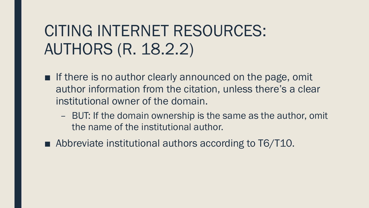#### CITING INTERNET RESOURCES: AUTHORS (R. 18.2.2)

- If there is no author clearly announced on the page, omit author information from the citation, unless there's a clear institutional owner of the domain.
	- BUT: If the domain ownership is the same as the author, omit the name of the institutional author.
- Abbreviate institutional authors according to T6/T10.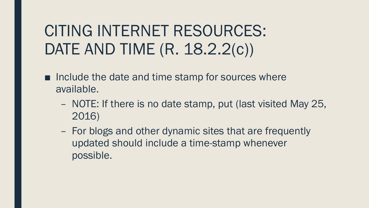## CITING INTERNET RESOURCES: DATE AND TIME (R. 18.2.2(c))

- Include the date and time stamp for sources where available.
	- NOTE: If there is no date stamp, put (last visited May 25, 2016)
	- For blogs and other dynamic sites that are frequently updated should include a time-stamp whenever possible.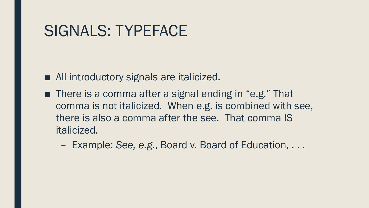#### SIGNALS: TYPEFACE

- All introductory signals are italicized.
- There is a comma after a signal ending in "e.g." That comma is not italicized. When e.g. is combined with see, there is also a comma after the see. That comma IS italicized.
	- Example: *See, e.g.*, Board v. Board of Education, . . .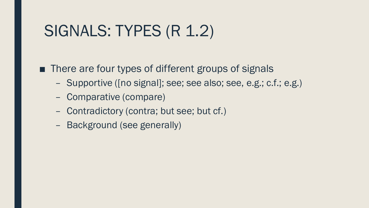#### SIGNALS: TYPES (R 1.2)

■ There are four types of different groups of signals

- Supportive ([no signal]; see; see also; see, e.g.; c.f.; e.g.)
- Comparative (compare)
- Contradictory (contra; but see; but cf.)
- Background (see generally)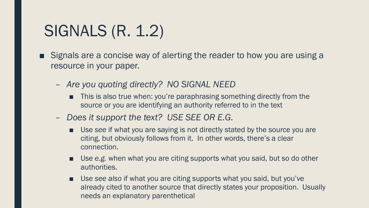#### SIGNALS (R. 1.2)

- Signals are a concise way of alerting the reader to how you are using a resource in your paper.
	- *Are you quoting directly? NO SIGNAL NEED*
		- This is also true when: you're paraphrasing something directly from the source or you are identifying an authority referred to in the text
	- *Does it support the text? USE SEE OR E.G.*
		- Use see if what you are saying is not directly stated by the source you are citing, but obviously follows from it. In other words, there's a clear connection.
		- Use *e.g.* when what you are citing supports what you said, but so do other authorities.
		- Use see also if what you are citing supports what you said, but you've already cited to another source that directly states your proposition. Usually needs an explanatory parenthetical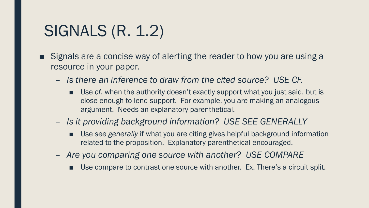#### SIGNALS (R. 1.2)

- Signals are a concise way of alerting the reader to how you are using a resource in your paper.
	- *Is there an inference to draw from the cited source? USE CF.*
		- Use *cf.* when the authority doesn't exactly support what you just said, but is close enough to lend support. For example, you are making an analogous argument. Needs an explanatory parenthetical.
	- *Is it providing background information? USE SEE GENERALLY*
		- Use see generally if what you are citing gives helpful background information related to the proposition. Explanatory parenthetical encouraged.
	- *Are you comparing one source with another? USE COMPARE*
		- Use compare to contrast one source with another. Ex. There's a circuit split.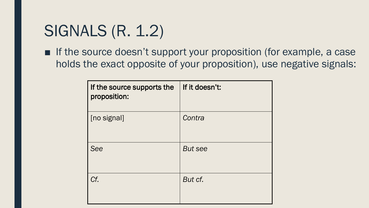#### SIGNALS (R. 1.2)

■ If the source doesn't support your proposition (for example, a case holds the exact opposite of your proposition), use negative signals:

| If the source supports the<br>proposition: | If it doesn't: |
|--------------------------------------------|----------------|
| [no signal]                                | Contra         |
| See                                        | <b>But see</b> |
| Cf.                                        | But cf.        |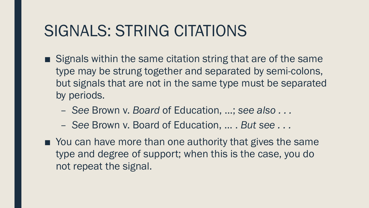#### SIGNALS: STRING CITATIONS

- Signals within the same citation string that are of the same type may be strung together and separated by semi-colons, but signals that are not in the same type must be separated by periods.
	- *See* Brown v. *Board* of Education, …; *see also . . .*
	- *See* Brown v. Board of Education, … . *But see . . .*
- You can have more than one authority that gives the same type and degree of support; when this is the case, you do not repeat the signal.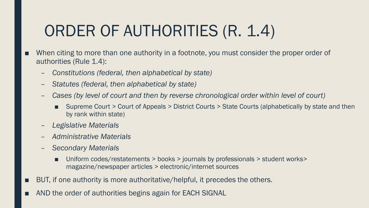## ORDER OF AUTHORITIES (R. 1.4)

- When citing to more than one authority in a footnote, you must consider the proper order of authorities (Rule 1.4):
	- *Constitutions (federal, then alphabetical by state)*
	- *Statutes (federal, then alphabetical by state)*
	- *Cases (by level of court and then by reverse chronological order within level of court)*
		- Supreme Court > Court of Appeals > District Courts > State Courts (alphabetically by state and then by rank within state)
	- *Legislative Materials*
	- *Administrative Materials*
	- *Secondary Materials*
		- Uniform codes/restatements > books > journals by professionals > student works> magazine/newspaper articles > electronic/internet sources
- BUT, if one authority is more authoritative/helpful, it precedes the others.
- AND the order of authorities begins again for EACH SIGNAL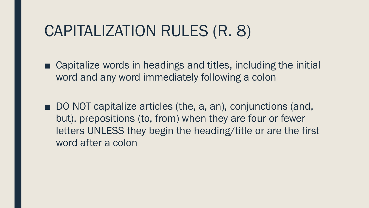#### CAPITALIZATION RULES (R. 8)

- Capitalize words in headings and titles, including the initial word and any word immediately following a colon
- DO NOT capitalize articles (the, a, an), conjunctions (and, but), prepositions (to, from) when they are four or fewer letters UNLESS they begin the heading/title or are the first word after a colon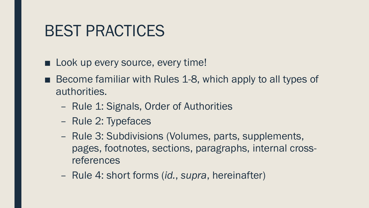#### BEST PRACTICES

- Look up every source, every time!
- Become familiar with Rules 1-8, which apply to all types of authorities.
	- Rule 1: Signals, Order of Authorities
	- Rule 2: Typefaces
	- Rule 3: Subdivisions (Volumes, parts, supplements, pages, footnotes, sections, paragraphs, internal crossreferences
	- Rule 4: short forms (*id.*, *supra*, hereinafter)